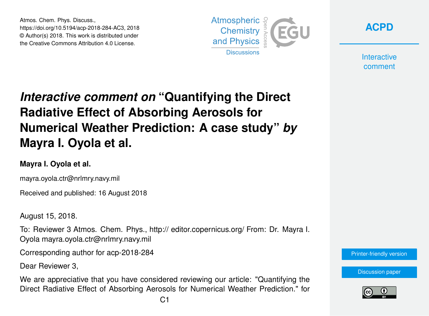Atmos. Chem. Phys. Discuss., https://doi.org/10.5194/acp-2018-284-AC3, 2018 © Author(s) 2018. This work is distributed under the Creative Commons Attribution 4.0 License.



**[ACPD](https://www.atmos-chem-phys-discuss.net/)**

**Interactive** comment

# *Interactive comment on* **"Quantifying the Direct Radiative Effect of Absorbing Aerosols for Numerical Weather Prediction: A case study"** *by* **Mayra I. Oyola et al.**

#### **Mayra I. Oyola et al.**

mayra.oyola.ctr@nrlmry.navy.mil

Received and published: 16 August 2018

August 15, 2018.

To: Reviewer 3 Atmos. Chem. Phys., http:// editor.copernicus.org/ From: Dr. Mayra I. Oyola mayra.oyola.ctr@nrlmry.navy.mil

Corresponding author for acp-2018-284

Dear Reviewer 3,

We are appreciative that you have considered reviewing our article: "Quantifying the Direct Radiative Effect of Absorbing Aerosols for Numerical Weather Prediction." for



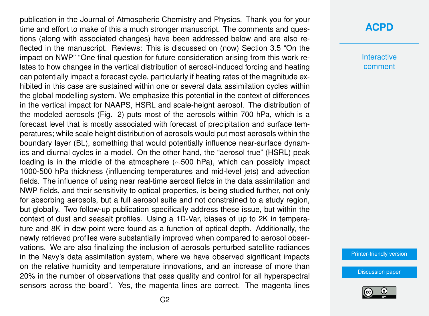publication in the Journal of Atmospheric Chemistry and Physics. Thank you for your time and effort to make of this a much stronger manuscript. The comments and questions (along with associated changes) have been addressed below and are also reflected in the manuscript. Reviews: This is discussed on (now) Section 3.5 "On the impact on NWP" "One final question for future consideration arising from this work relates to how changes in the vertical distribution of aerosol-induced forcing and heating can potentially impact a forecast cycle, particularly if heating rates of the magnitude exhibited in this case are sustained within one or several data assimilation cycles within the global modelling system. We emphasize this potential in the context of differences in the vertical impact for NAAPS, HSRL and scale-height aerosol. The distribution of the modeled aerosols (Fig. 2) puts most of the aerosols within 700 hPa, which is a forecast level that is mostly associated with forecast of precipitation and surface temperatures; while scale height distribution of aerosols would put most aerosols within the boundary layer (BL), something that would potentially influence near-surface dynamics and diurnal cycles in a model. On the other hand, the "aerosol true" (HSRL) peak loading is in the middle of the atmosphere (∼500 hPa), which can possibly impact 1000-500 hPa thickness (influencing temperatures and mid-level jets) and advection fields. The influence of using near real-time aerosol fields in the data assimilation and NWP fields, and their sensitivity to optical properties, is being studied further, not only for absorbing aerosols, but a full aerosol suite and not constrained to a study region, but globally. Two follow-up publication specifically address these issue, but within the context of dust and seasalt profiles. Using a 1D-Var, biases of up to 2K in temperature and 8K in dew point were found as a function of optical depth. Additionally, the newly retrieved profiles were substantially improved when compared to aerosol observations. We are also finalizing the inclusion of aerosols perturbed satellite radiances in the Navy's data assimilation system, where we have observed significant impacts on the relative humidity and temperature innovations, and an increase of more than 20% in the number of observations that pass quality and control for all hyperspectral sensors across the board". Yes, the magenta lines are correct. The magenta lines

### **[ACPD](https://www.atmos-chem-phys-discuss.net/)**

**Interactive** comment

[Printer-friendly version](https://www.atmos-chem-phys-discuss.net/acp-2018-284/acp-2018-284-AC3-print.pdf)

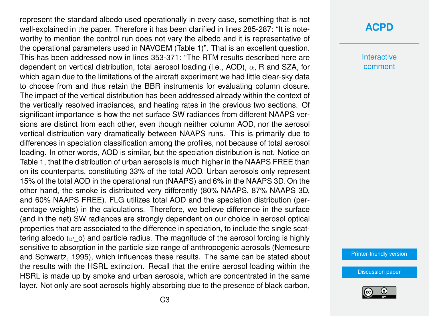represent the standard albedo used operationally in every case, something that is not well-explained in the paper. Therefore it has been clarified in lines 285-287: "It is noteworthy to mention the control run does not vary the albedo and it is representative of the operational parameters used in NAVGEM (Table 1)". That is an excellent question. This has been addressed now in lines 353-371: "The RTM results described here are dependent on vertical distribution, total aerosol loading (i.e., AOD),  $\alpha$ , R and SZA, for which again due to the limitations of the aircraft experiment we had little clear-sky data to choose from and thus retain the BBR instruments for evaluating column closure. The impact of the vertical distribution has been addressed already within the context of the vertically resolved irradiances, and heating rates in the previous two sections. Of significant importance is how the net surface SW radiances from different NAAPS versions are distinct from each other, even though neither column AOD, nor the aerosol vertical distribution vary dramatically between NAAPS runs. This is primarily due to differences in speciation classification among the profiles, not because of total aerosol loading. In other words, AOD is similar, but the speciation distribution is not. Notice on Table 1, that the distribution of urban aerosols is much higher in the NAAPS FREE than on its counterparts, constituting 33% of the total AOD. Urban aerosols only represent 15% of the total AOD in the operational run (NAAPS) and 6% in the NAAPS 3D. On the other hand, the smoke is distributed very differently (80% NAAPS, 87% NAAPS 3D, and 60% NAAPS FREE). FLG utilizes total AOD and the speciation distribution (percentage weights) in the calculations. Therefore, we believe difference in the surface (and in the net) SW radiances are strongly dependent on our choice in aerosol optical properties that are associated to the difference in speciation, to include the single scattering albedo ( $\omega$  o) and particle radius. The magnitude of the aerosol forcing is highly sensitive to absorption in the particle size range of anthropogenic aerosols (Nemesure and Schwartz, 1995), which influences these results. The same can be stated about the results with the HSRL extinction. Recall that the entire aerosol loading within the HSRL is made up by smoke and urban aerosols, which are concentrated in the same layer. Not only are soot aerosols highly absorbing due to the presence of black carbon,

## **[ACPD](https://www.atmos-chem-phys-discuss.net/)**

**Interactive** comment

[Printer-friendly version](https://www.atmos-chem-phys-discuss.net/acp-2018-284/acp-2018-284-AC3-print.pdf)